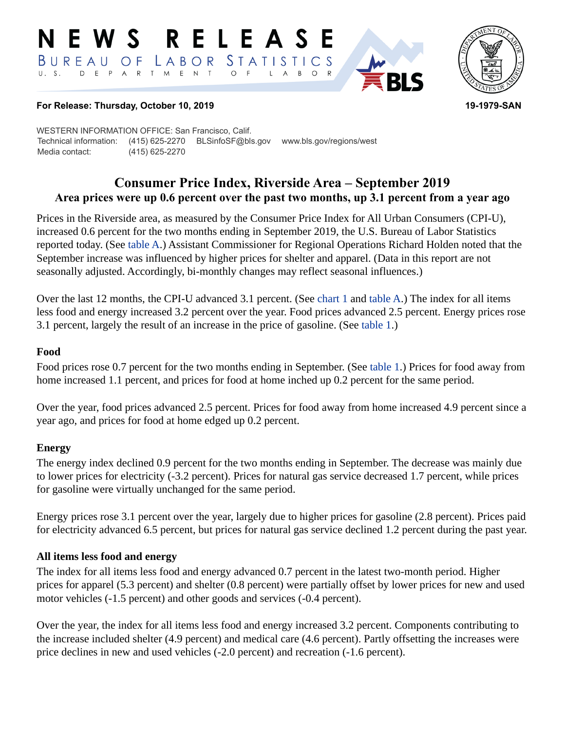#### RELEASE E W S BUREAU STATISTICS O F LABOR D E P A R T M E N T  $\circ$  $\overline{F}$  $B$  $\circ$  $\mathsf{L}$  $\overline{A}$



## **For Release: Thursday, October 10, 2019 19-1979-SAN**

WESTERN INFORMATION OFFICE: San Francisco, Calif. Technical information: (415) 625-2270 BLSinfoSF@bls.gov www.bls.gov/regions/west Media contact: (415) 625-2270

# **Consumer Price Index, Riverside Area – September 2019 Area prices were up 0.6 percent over the past two months, up 3.1 percent from a year ago**

Prices in the Riverside area, as measured by the Consumer Price Index for All Urban Consumers (CPI-U), increased 0.6 percent for the two months ending in September 2019, the U.S. Bureau of Labor Statistics reported today. (See table A.) Assistant Commissioner for Regional Operations Richard Holden noted that the September increase was influenced by higher prices for shelter and apparel. (Data in this report are not seasonally adjusted. Accordingly, bi-monthly changes may reflect seasonal influences.)

Over the last 12 months, the CPI-U advanced 3.1 percent. (See chart 1 and table A.) The index for all items less food and energy increased 3.2 percent over the year. Food prices advanced 2.5 percent. Energy prices rose 3.1 percent, largely the result of an increase in the price of gasoline. (See table 1.)

## **Food**

Food prices rose 0.7 percent for the two months ending in September. (See table 1.) Prices for food away from home increased 1.1 percent, and prices for food at home inched up 0.2 percent for the same period.

Over the year, food prices advanced 2.5 percent. Prices for food away from home increased 4.9 percent since a year ago, and prices for food at home edged up 0.2 percent.

## **Energy**

The energy index declined 0.9 percent for the two months ending in September. The decrease was mainly due to lower prices for electricity (-3.2 percent). Prices for natural gas service decreased 1.7 percent, while prices for gasoline were virtually unchanged for the same period.

Energy prices rose 3.1 percent over the year, largely due to higher prices for gasoline (2.8 percent). Prices paid for electricity advanced 6.5 percent, but prices for natural gas service declined 1.2 percent during the past year.

## **All items less food and energy**

The index for all items less food and energy advanced 0.7 percent in the latest two-month period. Higher prices for apparel (5.3 percent) and shelter (0.8 percent) were partially offset by lower prices for new and used motor vehicles (-1.5 percent) and other goods and services (-0.4 percent).

Over the year, the index for all items less food and energy increased 3.2 percent. Components contributing to the increase included shelter (4.9 percent) and medical care (4.6 percent). Partly offsetting the increases were price declines in new and used vehicles (-2.0 percent) and recreation (-1.6 percent).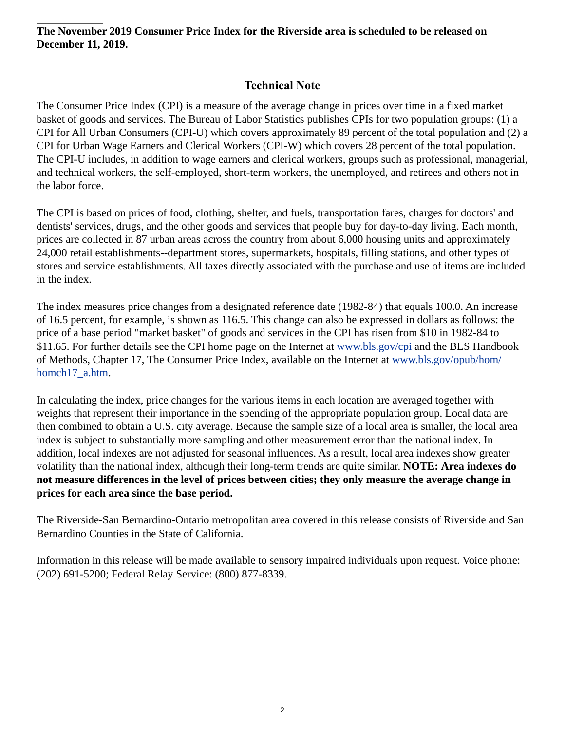**The November 2019 Consumer Price Index for the Riverside area is scheduled to be released on December 11, 2019.**

# **Technical Note**

The Consumer Price Index (CPI) is a measure of the average change in prices over time in a fixed market basket of goods and services. The Bureau of Labor Statistics publishes CPIs for two population groups: (1) a CPI for All Urban Consumers (CPI-U) which covers approximately 89 percent of the total population and (2) a CPI for Urban Wage Earners and Clerical Workers (CPI-W) which covers 28 percent of the total population. The CPI-U includes, in addition to wage earners and clerical workers, groups such as professional, managerial, and technical workers, the self-employed, short-term workers, the unemployed, and retirees and others not in the labor force.

The CPI is based on prices of food, clothing, shelter, and fuels, transportation fares, charges for doctors' and dentists' services, drugs, and the other goods and services that people buy for day-to-day living. Each month, prices are collected in 87 urban areas across the country from about 6,000 housing units and approximately 24,000 retail establishments--department stores, supermarkets, hospitals, filling stations, and other types of stores and service establishments. All taxes directly associated with the purchase and use of items are included in the index.

The index measures price changes from a designated reference date (1982-84) that equals 100.0. An increase of 16.5 percent, for example, is shown as 116.5. This change can also be expressed in dollars as follows: the price of a base period "market basket" of goods and services in the CPI has risen from \$10 in 1982-84 to \$11.65. For further details see the CPI home page on the Internet at [www.bls.gov/cpi](https://www.bls.gov/cpi) and the BLS Handbook of Methods, Chapter 17, The Consumer Price Index, available on the Internet at [www.bls.gov/opub/hom/](https://www.bls.gov/opub/hom/homch17_a.htm) [homch17\\_a.htm](https://www.bls.gov/opub/hom/homch17_a.htm).

In calculating the index, price changes for the various items in each location are averaged together with weights that represent their importance in the spending of the appropriate population group. Local data are then combined to obtain a U.S. city average. Because the sample size of a local area is smaller, the local area index is subject to substantially more sampling and other measurement error than the national index. In addition, local indexes are not adjusted for seasonal influences. As a result, local area indexes show greater volatility than the national index, although their long-term trends are quite similar. **NOTE: Area indexes do not measure differences in the level of prices between cities; they only measure the average change in prices for each area since the base period.**

The Riverside-San Bernardino-Ontario metropolitan area covered in this release consists of Riverside and San Bernardino Counties in the State of California.

Information in this release will be made available to sensory impaired individuals upon request. Voice phone: (202) 691-5200; Federal Relay Service: (800) 877-8339.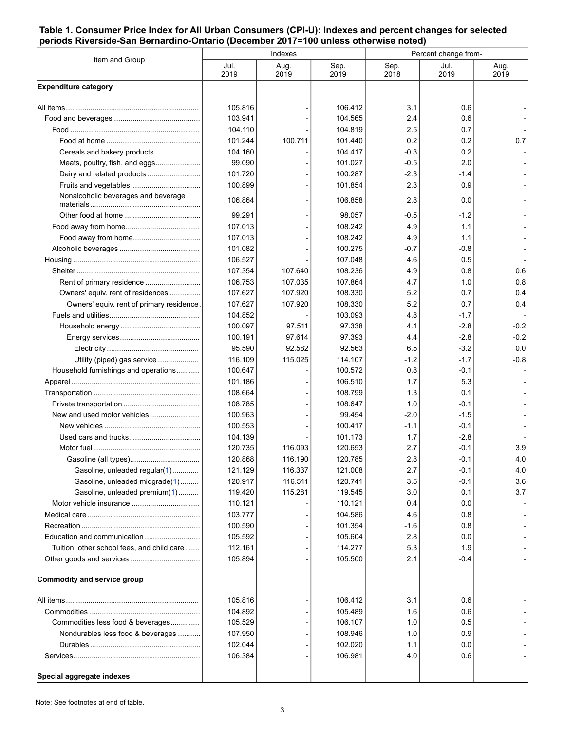### **Table 1. Consumer Price Index for All Urban Consumers (CPI-U): Indexes and percent changes for selected periods Riverside-San Bernardino-Ontario (December 2017=100 unless otherwise noted)**

| Item and Group                             | Indexes      |              |              | Percent change from- |              |              |
|--------------------------------------------|--------------|--------------|--------------|----------------------|--------------|--------------|
|                                            | Jul.<br>2019 | Aug.<br>2019 | Sep.<br>2019 | Sep.<br>2018         | Jul.<br>2019 | Aug.<br>2019 |
| <b>Expenditure category</b>                |              |              |              |                      |              |              |
|                                            | 105.816      |              | 106.412      | 3.1                  | 0.6          |              |
|                                            | 103.941      |              | 104.565      | 2.4                  | 0.6          |              |
|                                            | 104.110      |              | 104.819      | 2.5                  | 0.7          |              |
|                                            | 101.244      | 100.711      | 101.440      | 0.2                  | 0.2          | 0.7          |
| Cereals and bakery products                | 104.160      |              | 104.417      | -0.3                 | 0.2          |              |
| Meats, poultry, fish, and eggs             | 99.090       |              | 101.027      | $-0.5$               | 2.0          |              |
|                                            | 101.720      |              | 100.287      | $-2.3$               | -1.4         |              |
|                                            | 100.899      |              | 101.854      | 2.3                  | 0.9          |              |
| Nonalcoholic beverages and beverage        | 106.864      |              | 106.858      | 2.8                  | 0.0          |              |
|                                            | 99.291       |              | 98.057       | -0.5                 | $-1.2$       |              |
|                                            | 107.013      |              | 108.242      | 4.9                  | 1.1          |              |
|                                            | 107.013      |              | 108.242      | 4.9                  | 1.1          |              |
|                                            | 101.082      |              | 100.275      | -0.7                 | -0.8         |              |
|                                            | 106.527      |              | 107.048      | 4.6                  | 0.5          |              |
|                                            | 107.354      | 107.640      | 108.236      | 4.9                  | 0.8          | 0.6          |
|                                            | 106.753      | 107.035      | 107.864      | 4.7                  | 1.0          | 0.8          |
| Owners' equiv. rent of residences          | 107.627      | 107.920      | 108.330      | 5.2                  | 0.7          | 0.4          |
| Owners' equiv. rent of primary residence   | 107.627      | 107.920      | 108.330      | 5.2                  | 0.7          | 0.4          |
|                                            | 104.852      |              | 103.093      | 4.8                  | $-1.7$       |              |
|                                            | 100.097      | 97.511       | 97.338       | 4.1                  | $-2.8$       | $-0.2$       |
|                                            | 100.191      | 97.614       | 97.393       | 4.4                  | $-2.8$       | $-0.2$       |
|                                            | 95.590       | 92.582       | 92.563       | 6.5                  | $-3.2$       | 0.0          |
| Utility (piped) gas service                | 116.109      | 115.025      | 114.107      | $-1.2$               | $-1.7$       | $-0.8$       |
| Household furnishings and operations       | 100.647      |              | 100.572      | 0.8                  | $-0.1$       |              |
|                                            | 101.186      |              | 106.510      | 1.7                  | 5.3          |              |
|                                            | 108.664      |              | 108.799      | 1.3                  | 0.1          |              |
|                                            | 108.785      |              | 108.647      | 1.0                  | $-0.1$       |              |
|                                            | 100.963      |              | 99.454       | $-2.0$               | $-1.5$       |              |
|                                            | 100.553      |              | 100.417      | $-1.1$               | $-0.1$       |              |
|                                            | 104.139      |              | 101.173      | 1.7                  | $-2.8$       |              |
|                                            | 120.735      | 116.093      | 120.653      | 2.7                  | $-0.1$       | 3.9          |
|                                            | 120.868      | 116.190      | 120.785      | 2.8                  | $-0.1$       | 4.0          |
| Gasoline, unleaded regular(1)              | 121.129      | 116.337      | 121.008      | 2.7                  | $-0.1$       | 4.0          |
| Gasoline, unleaded midgrade(1)             | 120.917      | 116.511      | 120.741      | 3.5                  | $-0.1$       | 3.6          |
| Gasoline, unleaded premium(1)              | 119.420      | 115.281      | 119.545      | 3.0                  | 0.1          | 3.7          |
|                                            | 110.121      |              | 110.121      | 0.4                  | 0.0          |              |
|                                            | 103.777      |              | 104.586      | 4.6                  | 0.8          |              |
|                                            | 100.590      |              | 101.354      | -1.6                 | 0.8          |              |
| Education and communication                | 105.592      |              | 105.604      | 2.8                  | 0.0          |              |
| Tuition, other school fees, and child care | 112.161      |              | 114.277      | 5.3                  | 1.9          |              |
|                                            | 105.894      |              | 105.500      | 2.1                  | -0.4         |              |
| <b>Commodity and service group</b>         |              |              |              |                      |              |              |
|                                            | 105.816      |              | 106.412      | 3.1                  | 0.6          |              |
|                                            | 104.892      |              | 105.489      | 1.6                  | 0.6          |              |
| Commodities less food & beverages          | 105.529      |              | 106.107      | 1.0                  | 0.5          |              |
| Nondurables less food & beverages          | 107.950      |              | 108.946      | 1.0                  | 0.9          |              |
|                                            | 102.044      |              | 102.020      | 1.1                  | 0.0          |              |
|                                            | 106.384      |              | 106.981      | 4.0                  | 0.6          |              |
| Special aggregate indexes                  |              |              |              |                      |              |              |